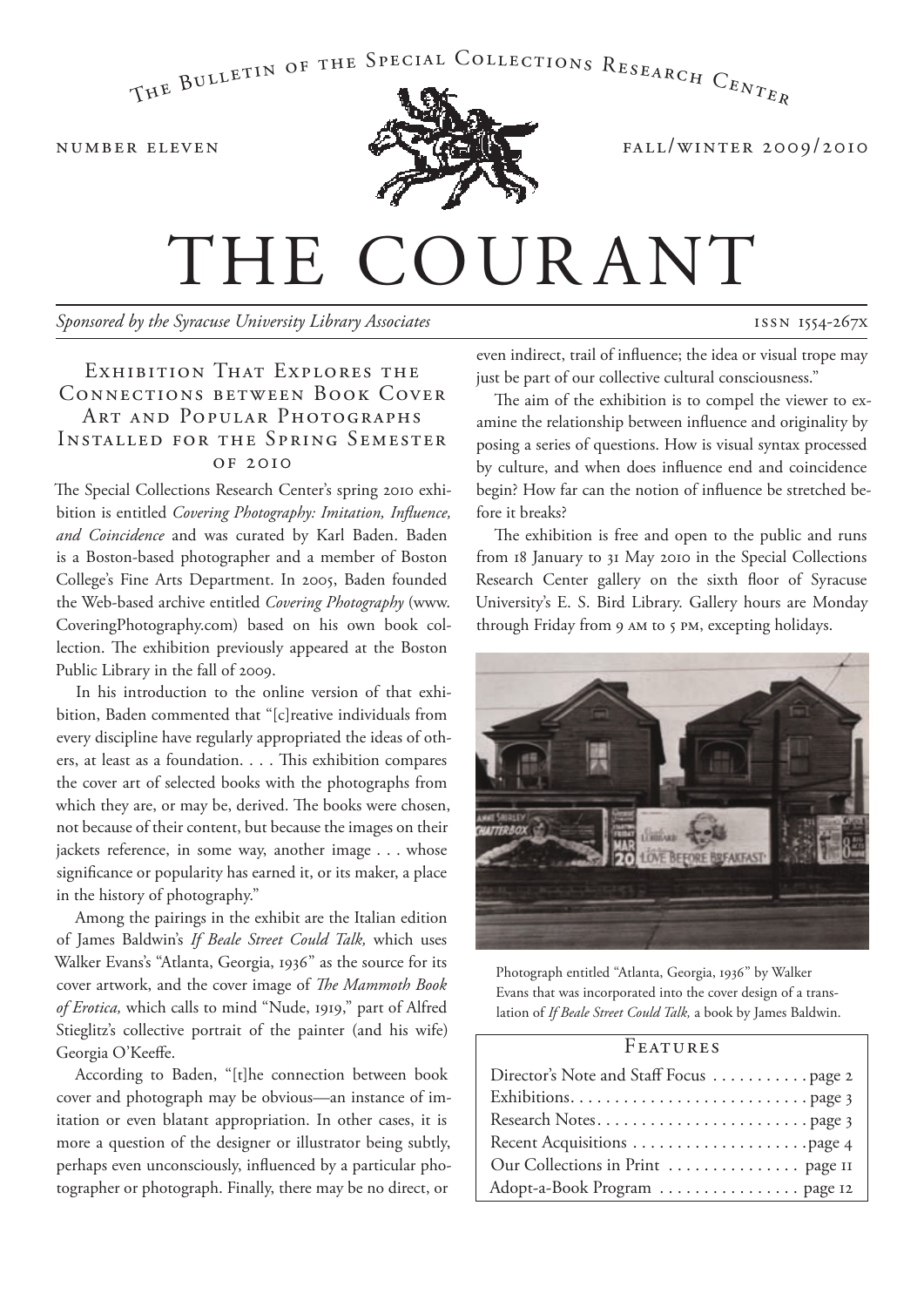## THE BULLETIN OF THE SPECIAL COLLECTIONS RESEARCH  $C_{ENT_{ER}}$



NUMBER ELEVEN **fall/winter 2009/2010** 

# THE COURANT

*Sponsored by the Syracuse University Library Associates*

#### ISSN 1554-267X

#### EXHIBITION THAT EXPLORES THE Connections between Book Cover Art and Popular Photographs Installed for the Spring Semester of 2010

The Special Collections Research Center's spring 2010 exhibition is entitled *Covering Photography: Imitation, Influence, and Coincidence* and was curated by Karl Baden. Baden is a Boston-based photographer and a member of Boston College's Fine Arts Department. In 2005, Baden founded the Web-based archive entitled *Covering Photography* (www. CoveringPhotography.com) based on his own book collection. The exhibition previously appeared at the Boston Public Library in the fall of 2009.

In his introduction to the online version of that exhibition, Baden commented that "[c]reative individuals from every discipline have regularly appropriated the ideas of others, at least as a foundation. . . . This exhibition compares the cover art of selected books with the photographs from which they are, or may be, derived. The books were chosen, not because of their content, but because the images on their jackets reference, in some way, another image . . . whose significance or popularity has earned it, or its maker, a place in the history of photography."

Among the pairings in the exhibit are the Italian edition of James Baldwin's *If Beale Street Could Talk,* which uses Walker Evans's "Atlanta, Georgia, 1936" as the source for its cover artwork, and the cover image of *The Mammoth Book of Erotica,* which calls to mind "Nude, 1919," part of Alfred Stieglitz's collective portrait of the painter (and his wife) Georgia O'Keeffe.

According to Baden, "[t]he connection between book cover and photograph may be obvious—an instance of imitation or even blatant appropriation. In other cases, it is more a question of the designer or illustrator being subtly, perhaps even unconsciously, influenced by a particular photographer or photograph. Finally, there may be no direct, or

even indirect, trail of influence; the idea or visual trope may just be part of our collective cultural consciousness."

The aim of the exhibition is to compel the viewer to examine the relationship between influence and originality by posing a series of questions. How is visual syntax processed by culture, and when does influence end and coincidence begin? How far can the notion of influence be stretched before it breaks?

The exhibition is free and open to the public and runs from 18 January to 31 May 2010 in the Special Collections Research Center gallery on the sixth floor of Syracuse University's E. S. Bird Library. Gallery hours are Monday through Friday from 9 am to 5 pm, excepting holidays.



Photograph entitled "Atlanta, Georgia, 1936" by Walker Evans that was incorporated into the cover design of a translation of *If Beale Street Could Talk,* a book by James Baldwin.

#### **FEATURES**

| Director's Note and Staff Focus page 2 |
|----------------------------------------|
|                                        |
|                                        |
|                                        |
|                                        |
| Adopt-a-Book Program  page 12          |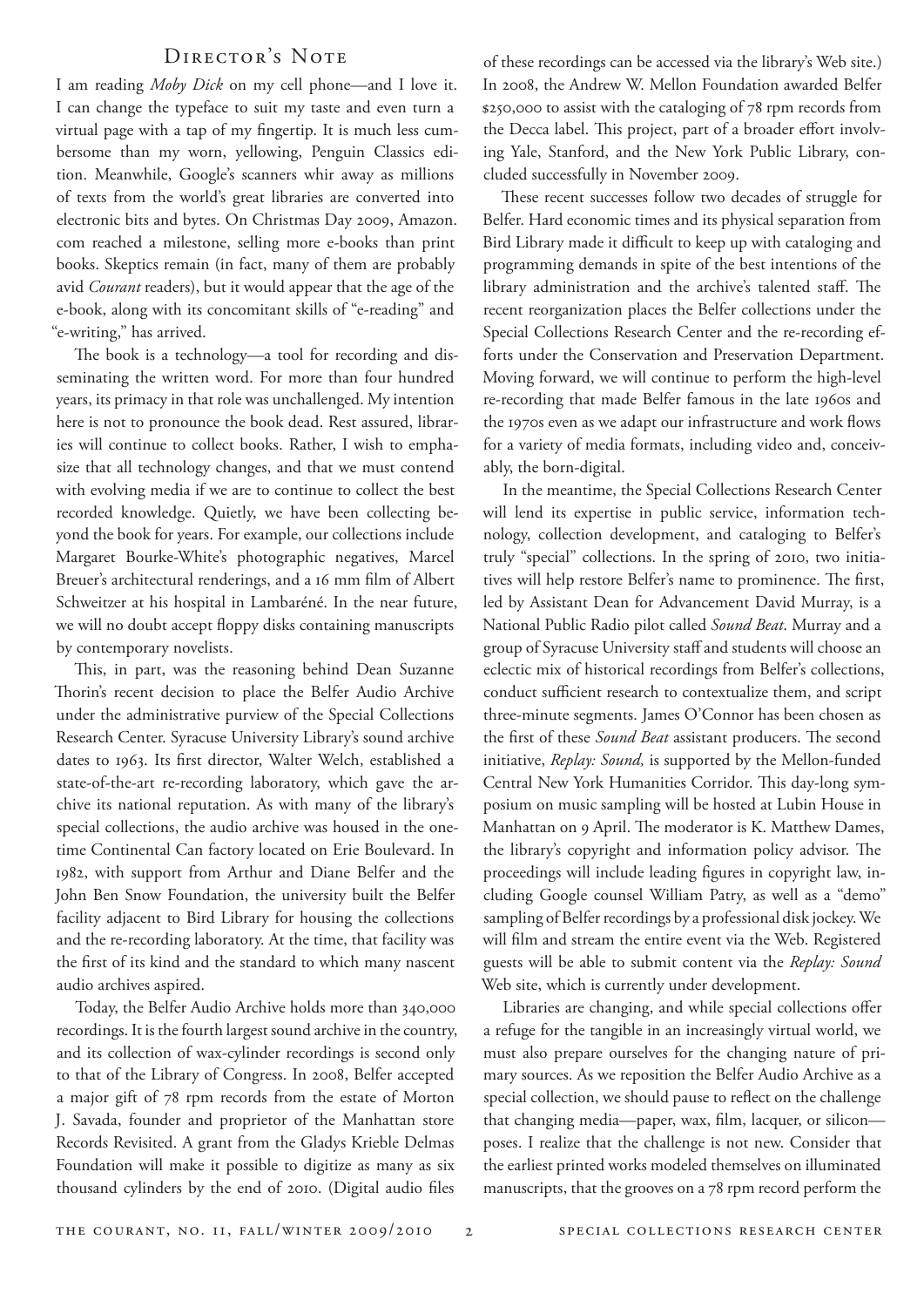#### Director's Note

I am reading *Moby Dick* on my cell phone—and I love it. I can change the typeface to suit my taste and even turn a virtual page with a tap of my fingertip. It is much less cumbersome than my worn, yellowing, Penguin Classics edition. Meanwhile, Google's scanners whir away as millions of texts from the world's great libraries are converted into electronic bits and bytes. On Christmas Day 2009, Amazon. com reached a milestone, selling more e-books than print books. Skeptics remain (in fact, many of them are probably avid *Courant* readers), but it would appear that the age of the e-book, along with its concomitant skills of "e-reading" and "e-writing," has arrived.

The book is a technology—a tool for recording and disseminating the written word. For more than four hundred years, its primacy in that role was unchallenged. My intention here is not to pronounce the book dead. Rest assured, libraries will continue to collect books. Rather, I wish to emphasize that all technology changes, and that we must contend with evolving media if we are to continue to collect the best recorded knowledge. Quietly, we have been collecting beyond the book for years. For example, our collections include Margaret Bourke-White's photographic negatives, Marcel Breuer's architectural renderings, and a 16 mm film of Albert Schweitzer at his hospital in Lambaréné. In the near future, we will no doubt accept floppy disks containing manuscripts by contemporary novelists.

This, in part, was the reasoning behind Dean Suzanne Thorin's recent decision to place the Belfer Audio Archive under the administrative purview of the Special Collections Research Center. Syracuse University Library's sound archive dates to 1963. Its first director, Walter Welch, established a state-of-the-art re-recording laboratory, which gave the archive its national reputation. As with many of the library's special collections, the audio archive was housed in the onetime Continental Can factory located on Erie Boulevard. In 1982, with support from Arthur and Diane Belfer and the John Ben Snow Foundation, the university built the Belfer facility adjacent to Bird Library for housing the collections and the re-recording laboratory. At the time, that facility was the first of its kind and the standard to which many nascent audio archives aspired.

Today, the Belfer Audio Archive holds more than 340,000 recordings. It is the fourth largest sound archive in the country, and its collection of wax-cylinder recordings is second only to that of the Library of Congress. In 2008, Belfer accepted a major gift of 78 rpm records from the estate of Morton J. Savada, founder and proprietor of the Manhattan store Records Revisited. A grant from the Gladys Krieble Delmas Foundation will make it possible to digitize as many as six thousand cylinders by the end of 2010. (Digital audio files

of these recordings can be accessed via the library's Web site.) In 2008, the Andrew W. Mellon Foundation awarded Belfer \$250,000 to assist with the cataloging of 78 rpm records from the Decca label. This project, part of a broader effort involving Yale, Stanford, and the New York Public Library, concluded successfully in November 2009.

These recent successes follow two decades of struggle for Belfer. Hard economic times and its physical separation from Bird Library made it difficult to keep up with cataloging and programming demands in spite of the best intentions of the library administration and the archive's talented staff. The recent reorganization places the Belfer collections under the Special Collections Research Center and the re-recording efforts under the Conservation and Preservation Department. Moving forward, we will continue to perform the high-level re-recording that made Belfer famous in the late 1960s and the 1970s even as we adapt our infrastructure and work flows for a variety of media formats, including video and, conceivably, the born-digital.

In the meantime, the Special Collections Research Center will lend its expertise in public service, information technology, collection development, and cataloging to Belfer's truly "special" collections. In the spring of 2010, two initiatives will help restore Belfer's name to prominence. The first, led by Assistant Dean for Advancement David Murray, is a National Public Radio pilot called *Sound Beat*. Murray and a group of Syracuse University staff and students will choose an eclectic mix of historical recordings from Belfer's collections, conduct sufficient research to contextualize them, and script three-minute segments. James O'Connor has been chosen as the first of these *Sound Beat* assistant producers. The second initiative, *Replay: Sound,* is supported by the Mellon-funded Central New York Humanities Corridor. This day-long symposium on music sampling will be hosted at Lubin House in Manhattan on 9 April. The moderator is K. Matthew Dames, the library's copyright and information policy advisor. The proceedings will include leading figures in copyright law, including Google counsel William Patry, as well as a "demo" sampling of Belfer recordings by a professional disk jockey. We will film and stream the entire event via the Web. Registered guests will be able to submit content via the *Replay: Sound* Web site, which is currently under development.

Libraries are changing, and while special collections offer a refuge for the tangible in an increasingly virtual world, we must also prepare ourselves for the changing nature of primary sources. As we reposition the Belfer Audio Archive as a special collection, we should pause to reflect on the challenge that changing media—paper, wax, film, lacquer, or silicon poses. I realize that the challenge is not new. Consider that the earliest printed works modeled themselves on illuminated manuscripts, that the grooves on a 78 rpm record perform the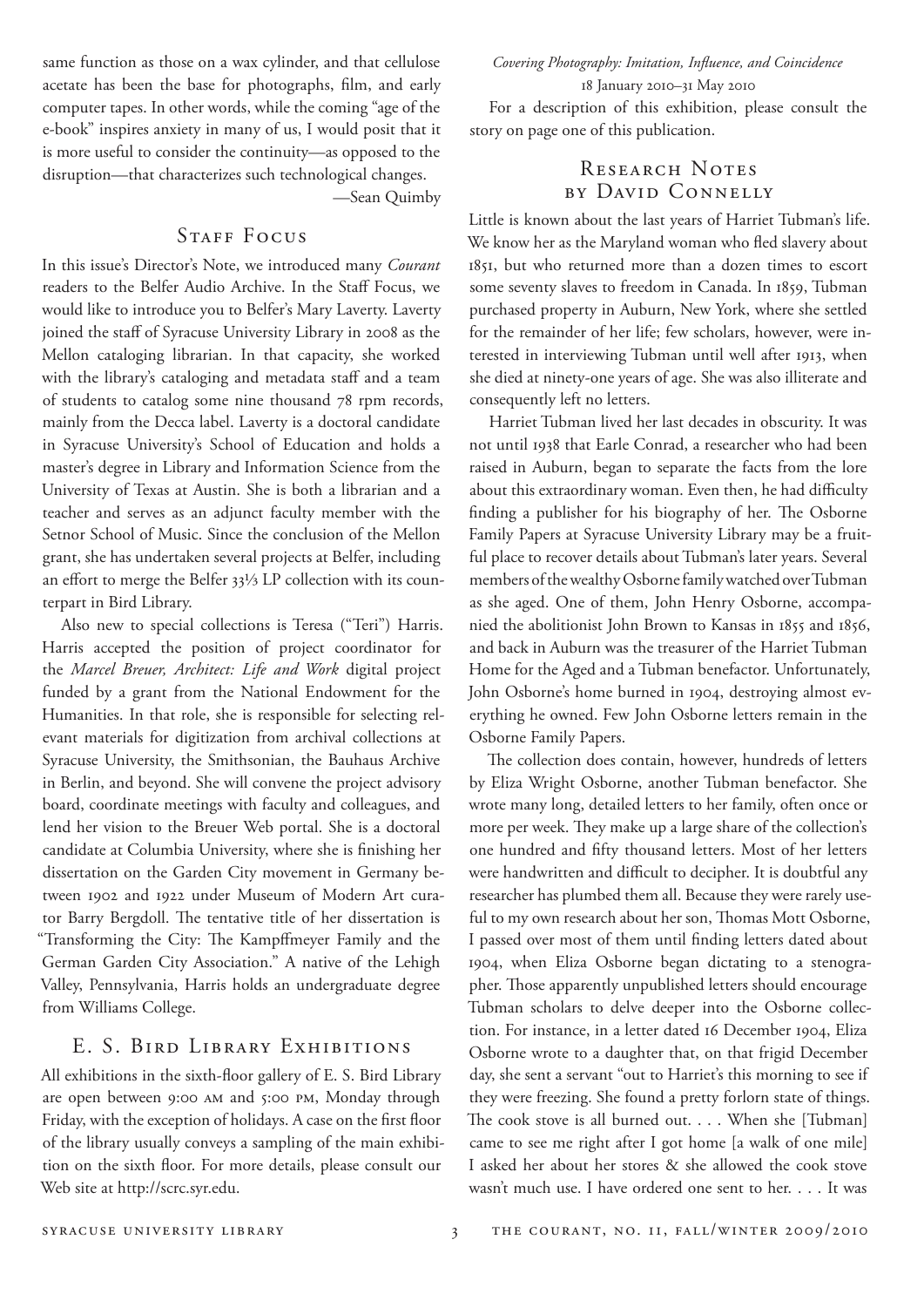same function as those on a wax cylinder, and that cellulose acetate has been the base for photographs, film, and early computer tapes. In other words, while the coming "age of the e-book" inspires anxiety in many of us, I would posit that it is more useful to consider the continuity—as opposed to the disruption—that characterizes such technological changes.

—Sean Quimby

#### STAFF FOCUS

In this issue's Director's Note, we introduced many *Courant* readers to the Belfer Audio Archive. In the Staff Focus, we would like to introduce you to Belfer's Mary Laverty. Laverty joined the staff of Syracuse University Library in 2008 as the Mellon cataloging librarian. In that capacity, she worked with the library's cataloging and metadata staff and a team of students to catalog some nine thousand 78 rpm records, mainly from the Decca label. Laverty is a doctoral candidate in Syracuse University's School of Education and holds a master's degree in Library and Information Science from the University of Texas at Austin. She is both a librarian and a teacher and serves as an adjunct faculty member with the Setnor School of Music. Since the conclusion of the Mellon grant, she has undertaken several projects at Belfer, including an effort to merge the Belfer 33⅓ LP collection with its counterpart in Bird Library.

Also new to special collections is Teresa ("Teri") Harris. Harris accepted the position of project coordinator for the *Marcel Breuer, Architect: Life and Work* digital project funded by a grant from the National Endowment for the Humanities. In that role, she is responsible for selecting relevant materials for digitization from archival collections at Syracuse University, the Smithsonian, the Bauhaus Archive in Berlin, and beyond. She will convene the project advisory board, coordinate meetings with faculty and colleagues, and lend her vision to the Breuer Web portal. She is a doctoral candidate at Columbia University, where she is finishing her dissertation on the Garden City movement in Germany between 1902 and 1922 under Museum of Modern Art curator Barry Bergdoll. The tentative title of her dissertation is "Transforming the City: The Kampffmeyer Family and the German Garden City Association." A native of the Lehigh Valley, Pennsylvania, Harris holds an undergraduate degree from Williams College.

#### E. S. BIRD LIBRARY EXHIBITIONS

All exhibitions in the sixth-floor gallery of E. S. Bird Library are open between 9:00 am and 5:00 pm, Monday through Friday, with the exception of holidays. A case on the first floor of the library usually conveys a sampling of the main exhibition on the sixth floor. For more details, please consult our Web site at http://scrc.syr.edu.

*Covering Photography: Imitation, Influence, and Coincidence* 18 January 2010–31 May 2010

For a description of this exhibition, please consult the story on page one of this publication.

#### RESEARCH NOTES by David Connelly

Little is known about the last years of Harriet Tubman's life. We know her as the Maryland woman who fled slavery about 1851, but who returned more than a dozen times to escort some seventy slaves to freedom in Canada. In 1859, Tubman purchased property in Auburn, New York, where she settled for the remainder of her life; few scholars, however, were interested in interviewing Tubman until well after 1913, when she died at ninety-one years of age. She was also illiterate and consequently left no letters.

Harriet Tubman lived her last decades in obscurity. It was not until 1938 that Earle Conrad, a researcher who had been raised in Auburn, began to separate the facts from the lore about this extraordinary woman. Even then, he had difficulty finding a publisher for his biography of her. The Osborne Family Papers at Syracuse University Library may be a fruitful place to recover details about Tubman's later years. Several members of the wealthy Osborne family watched over Tubman as she aged. One of them, John Henry Osborne, accompanied the abolitionist John Brown to Kansas in 1855 and 1856, and back in Auburn was the treasurer of the Harriet Tubman Home for the Aged and a Tubman benefactor. Unfortunately, John Osborne's home burned in 1904, destroying almost everything he owned. Few John Osborne letters remain in the Osborne Family Papers.

The collection does contain, however, hundreds of letters by Eliza Wright Osborne, another Tubman benefactor. She wrote many long, detailed letters to her family, often once or more per week. They make up a large share of the collection's one hundred and fifty thousand letters. Most of her letters were handwritten and difficult to decipher. It is doubtful any researcher has plumbed them all. Because they were rarely useful to my own research about her son, Thomas Mott Osborne, I passed over most of them until finding letters dated about 1904, when Eliza Osborne began dictating to a stenographer. Those apparently unpublished letters should encourage Tubman scholars to delve deeper into the Osborne collection. For instance, in a letter dated 16 December 1904, Eliza Osborne wrote to a daughter that, on that frigid December day, she sent a servant "out to Harriet's this morning to see if they were freezing. She found a pretty forlorn state of things. The cook stove is all burned out. . . . When she [Tubman] came to see me right after I got home [a walk of one mile] I asked her about her stores & she allowed the cook stove wasn't much use. I have ordered one sent to her. . . . It was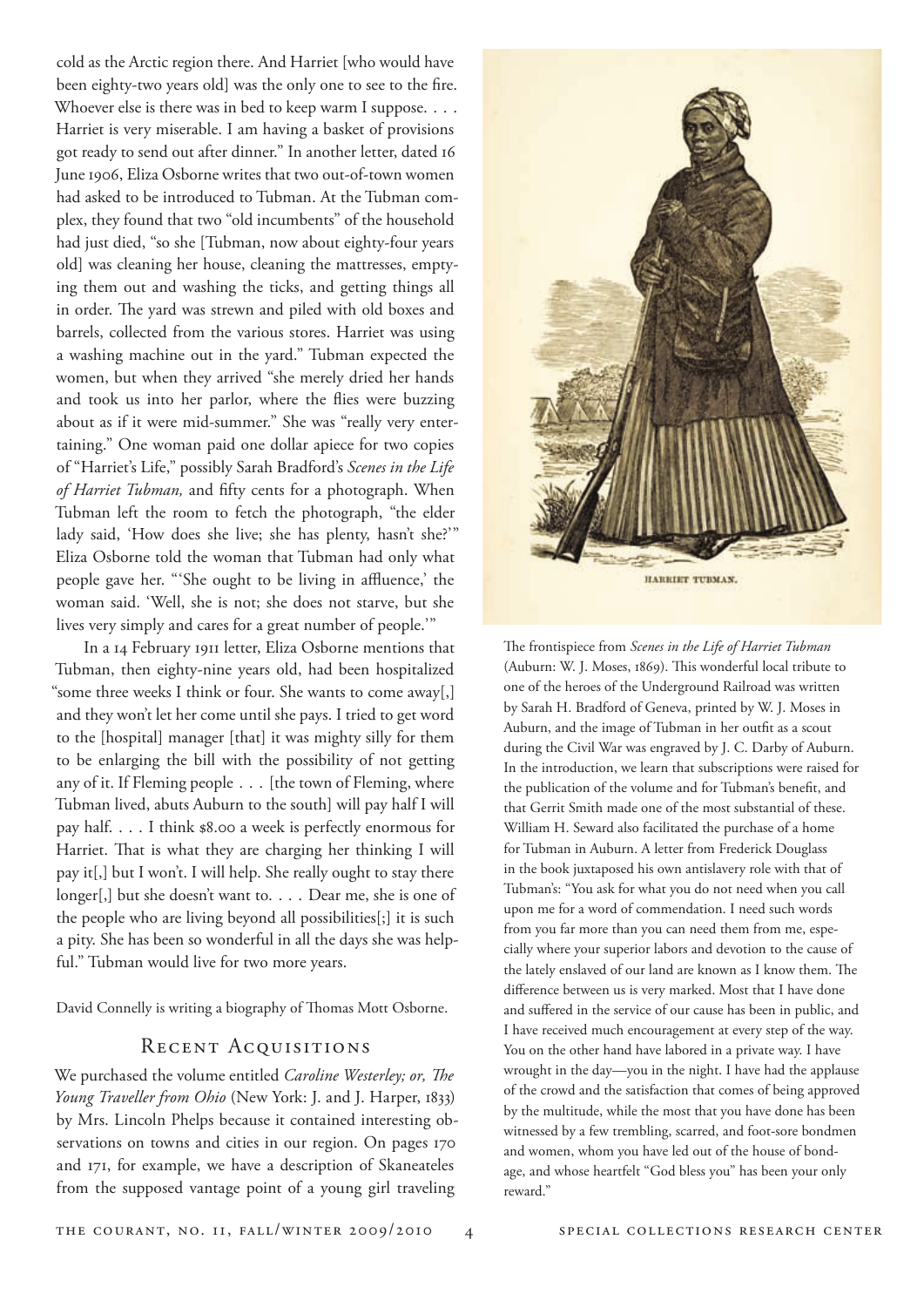cold as the Arctic region there. And Harriet [who would have been eighty-two years old] was the only one to see to the fire. Whoever else is there was in bed to keep warm I suppose. . . . Harriet is very miserable. I am having a basket of provisions got ready to send out after dinner." In another letter, dated 16 June 1906, Eliza Osborne writes that two out-of-town women had asked to be introduced to Tubman. At the Tubman complex, they found that two "old incumbents" of the household had just died, "so she [Tubman, now about eighty-four years old] was cleaning her house, cleaning the mattresses, emptying them out and washing the ticks, and getting things all in order. The yard was strewn and piled with old boxes and barrels, collected from the various stores. Harriet was using a washing machine out in the yard." Tubman expected the women, but when they arrived "she merely dried her hands and took us into her parlor, where the flies were buzzing about as if it were mid-summer." She was "really very entertaining." One woman paid one dollar apiece for two copies of "Harriet's Life," possibly Sarah Bradford's *Scenes in the Life of Harriet Tubman,* and fifty cents for a photograph. When Tubman left the room to fetch the photograph, "the elder lady said, 'How does she live; she has plenty, hasn't she?'" Eliza Osborne told the woman that Tubman had only what people gave her. "'She ought to be living in affluence,' the woman said. 'Well, she is not; she does not starve, but she lives very simply and cares for a great number of people.'"

In a 14 February 1911 letter, Eliza Osborne mentions that Tubman, then eighty-nine years old, had been hospitalized "some three weeks I think or four. She wants to come away[,] and they won't let her come until she pays. I tried to get word to the [hospital] manager [that] it was mighty silly for them to be enlarging the bill with the possibility of not getting any of it. If Fleming people . . . [the town of Fleming, where Tubman lived, abuts Auburn to the south] will pay half I will pay half. . . . I think \$8.00 a week is perfectly enormous for Harriet. That is what they are charging her thinking I will pay it[,] but I won't. I will help. She really ought to stay there longer[,] but she doesn't want to. . . . Dear me, she is one of the people who are living beyond all possibilities[;] it is such a pity. She has been so wonderful in all the days she was helpful." Tubman would live for two more years.

David Connelly is writing a biography of Thomas Mott Osborne.

#### RECENT ACQUISITIONS

We purchased the volume entitled *Caroline Westerley; or, The Young Traveller from Ohio* (New York: J. and J. Harper, 1833) by Mrs. Lincoln Phelps because it contained interesting observations on towns and cities in our region. On pages 170 and 171, for example, we have a description of Skaneateles from the supposed vantage point of a young girl traveling



The frontispiece from *Scenes in the Life of Harriet Tubman* (Auburn: W. J. Moses, 1869). This wonderful local tribute to one of the heroes of the Underground Railroad was written by Sarah H. Bradford of Geneva, printed by W. J. Moses in Auburn, and the image of Tubman in her outfit as a scout during the Civil War was engraved by J. C. Darby of Auburn. In the introduction, we learn that subscriptions were raised for the publication of the volume and for Tubman's benefit, and that Gerrit Smith made one of the most substantial of these. William H. Seward also facilitated the purchase of a home for Tubman in Auburn. A letter from Frederick Douglass in the book juxtaposed his own antislavery role with that of Tubman's: "You ask for what you do not need when you call upon me for a word of commendation. I need such words from you far more than you can need them from me, especially where your superior labors and devotion to the cause of the lately enslaved of our land are known as I know them. The difference between us is very marked. Most that I have done and suffered in the service of our cause has been in public, and I have received much encouragement at every step of the way. You on the other hand have labored in a private way. I have wrought in the day—you in the night. I have had the applause of the crowd and the satisfaction that comes of being approved by the multitude, while the most that you have done has been witnessed by a few trembling, scarred, and foot-sore bondmen and women, whom you have led out of the house of bondage, and whose heartfelt "God bless you" has been your only reward."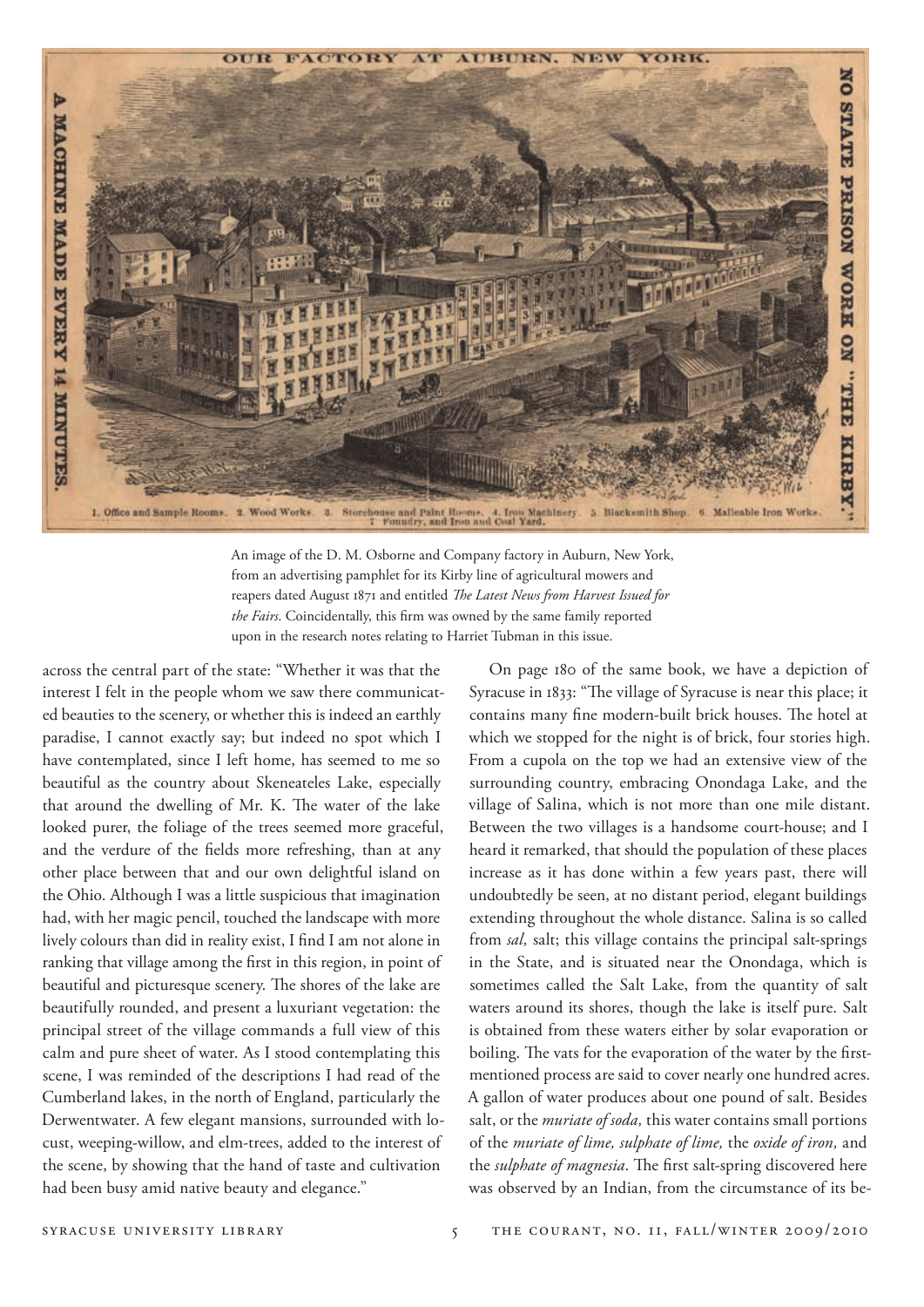

An image of the D. M. Osborne and Company factory in Auburn, New York, from an advertising pamphlet for its Kirby line of agricultural mowers and reapers dated August 1871 and entitled *The Latest News from Harvest Issued for the Fairs*. Coincidentally, this firm was owned by the same family reported upon in the research notes relating to Harriet Tubman in this issue.

across the central part of the state: "Whether it was that the interest I felt in the people whom we saw there communicated beauties to the scenery, or whether this is indeed an earthly paradise, I cannot exactly say; but indeed no spot which I have contemplated, since I left home, has seemed to me so beautiful as the country about Skeneateles Lake, especially that around the dwelling of Mr. K. The water of the lake looked purer, the foliage of the trees seemed more graceful, and the verdure of the fields more refreshing, than at any other place between that and our own delightful island on the Ohio. Although I was a little suspicious that imagination had, with her magic pencil, touched the landscape with more lively colours than did in reality exist, I find I am not alone in ranking that village among the first in this region, in point of beautiful and picturesque scenery. The shores of the lake are beautifully rounded, and present a luxuriant vegetation: the principal street of the village commands a full view of this calm and pure sheet of water. As I stood contemplating this scene, I was reminded of the descriptions I had read of the Cumberland lakes, in the north of England, particularly the Derwentwater. A few elegant mansions, surrounded with locust, weeping-willow, and elm-trees, added to the interest of the scene, by showing that the hand of taste and cultivation had been busy amid native beauty and elegance."

On page 180 of the same book, we have a depiction of Syracuse in 1833: "The village of Syracuse is near this place; it contains many fine modern-built brick houses. The hotel at which we stopped for the night is of brick, four stories high. From a cupola on the top we had an extensive view of the surrounding country, embracing Onondaga Lake, and the village of Salina, which is not more than one mile distant. Between the two villages is a handsome court-house; and I heard it remarked, that should the population of these places increase as it has done within a few years past, there will undoubtedly be seen, at no distant period, elegant buildings extending throughout the whole distance. Salina is so called from *sal,* salt; this village contains the principal salt-springs in the State, and is situated near the Onondaga, which is sometimes called the Salt Lake, from the quantity of salt waters around its shores, though the lake is itself pure. Salt is obtained from these waters either by solar evaporation or boiling. The vats for the evaporation of the water by the firstmentioned process are said to cover nearly one hundred acres. A gallon of water produces about one pound of salt. Besides salt, or the *muriate of soda,* this water contains small portions of the *muriate of lime, sulphate of lime,* the *oxide of iron,* and the *sulphate of magnesia*. The first salt-spring discovered here was observed by an Indian, from the circumstance of its be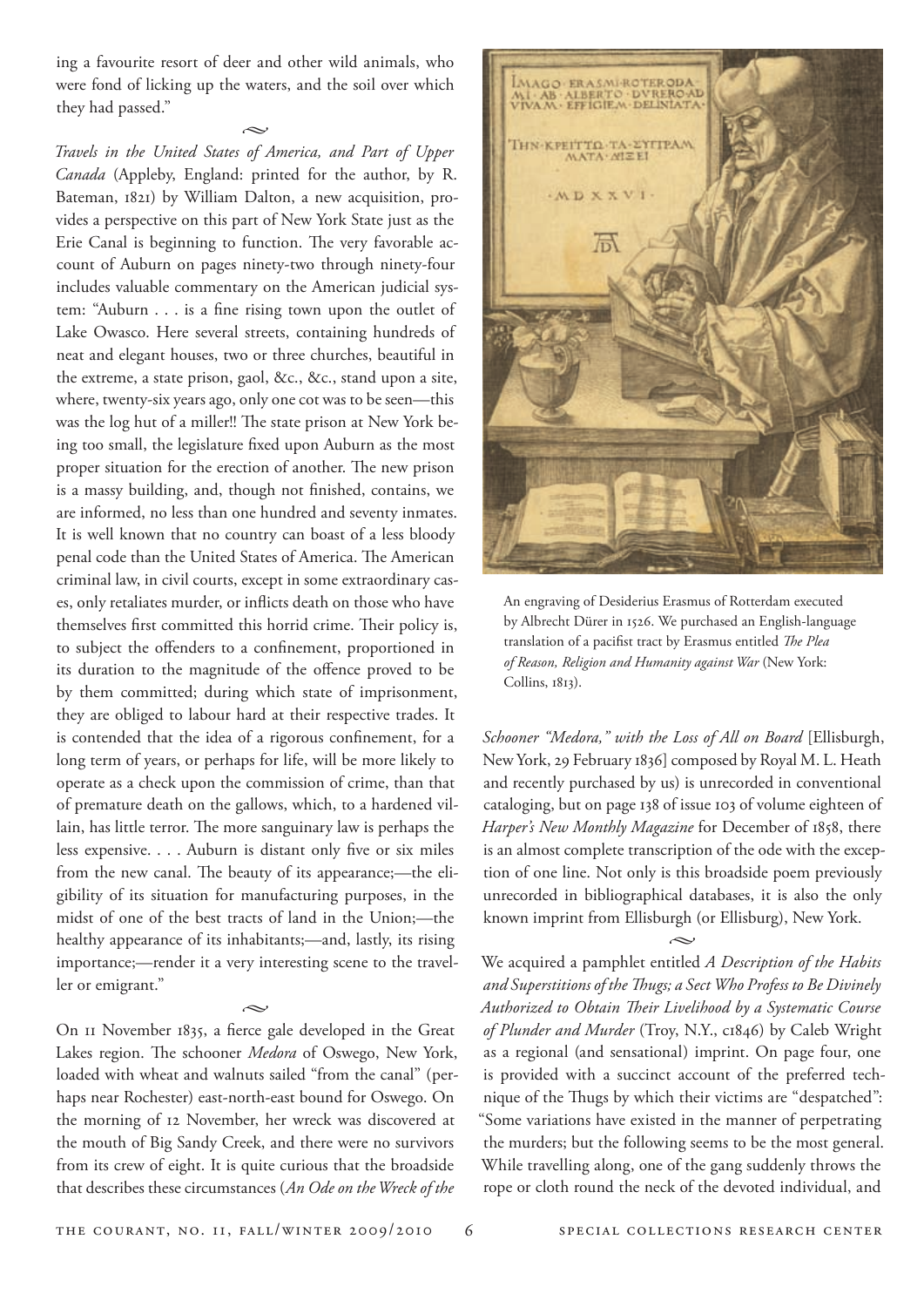ing a favourite resort of deer and other wild animals, who were fond of licking up the waters, and the soil over which they had passed."

 $\sim$ *Travels in the United States of America, and Part of Upper Canada* (Appleby, England: printed for the author, by R. Bateman, 1821) by William Dalton, a new acquisition, provides a perspective on this part of New York State just as the Erie Canal is beginning to function. The very favorable account of Auburn on pages ninety-two through ninety-four includes valuable commentary on the American judicial system: "Auburn . . . is a fine rising town upon the outlet of Lake Owasco. Here several streets, containing hundreds of neat and elegant houses, two or three churches, beautiful in the extreme, a state prison, gaol, &c., &c., stand upon a site, where, twenty-six years ago, only one cot was to be seen—this was the log hut of a miller!! The state prison at New York being too small, the legislature fixed upon Auburn as the most proper situation for the erection of another. The new prison is a massy building, and, though not finished, contains, we are informed, no less than one hundred and seventy inmates. It is well known that no country can boast of a less bloody penal code than the United States of America. The American criminal law, in civil courts, except in some extraordinary cases, only retaliates murder, or inflicts death on those who have themselves first committed this horrid crime. Their policy is, to subject the offenders to a confinement, proportioned in its duration to the magnitude of the offence proved to be by them committed; during which state of imprisonment, they are obliged to labour hard at their respective trades. It is contended that the idea of a rigorous confinement, for a long term of years, or perhaps for life, will be more likely to operate as a check upon the commission of crime, than that of premature death on the gallows, which, to a hardened villain, has little terror. The more sanguinary law is perhaps the less expensive. . . . Auburn is distant only five or six miles from the new canal. The beauty of its appearance;—the eligibility of its situation for manufacturing purposes, in the midst of one of the best tracts of land in the Union;—the healthy appearance of its inhabitants;—and, lastly, its rising importance;—render it a very interesting scene to the traveller or emigrant."

 $\sim$ 

On 11 November 1835, a fierce gale developed in the Great Lakes region. The schooner *Medora* of Oswego, New York, loaded with wheat and walnuts sailed "from the canal" (perhaps near Rochester) east-north-east bound for Oswego. On the morning of 12 November, her wreck was discovered at the mouth of Big Sandy Creek, and there were no survivors from its crew of eight. It is quite curious that the broadside that describes these circumstances (*An Ode on the Wreck of the* 



An engraving of Desiderius Erasmus of Rotterdam executed by Albrecht Dürer in 1526. We purchased an English-language translation of a pacifist tract by Erasmus entitled *The Plea of Reason, Religion and Humanity against War* (New York: Collins, 1813).

*Schooner "Medora," with the Loss of All on Board* [Ellisburgh, New York, 29 February 1836] composed by Royal M. L. Heath and recently purchased by us) is unrecorded in conventional cataloging, but on page 138 of issue 103 of volume eighteen of *Harper's New Monthly Magazine* for December of 1858, there is an almost complete transcription of the ode with the exception of one line. Not only is this broadside poem previously unrecorded in bibliographical databases, it is also the only known imprint from Ellisburgh (or Ellisburg), New York.

 $\sim$ 

We acquired a pamphlet entitled *A Description of the Habits and Superstitions of the Thugs; a Sect Who Profess to Be Divinely Authorized to Obtain Their Livelihood by a Systematic Course of Plunder and Murder* (Troy, N.Y., c1846) by Caleb Wright as a regional (and sensational) imprint. On page four, one is provided with a succinct account of the preferred technique of the Thugs by which their victims are "despatched": "Some variations have existed in the manner of perpetrating the murders; but the following seems to be the most general. While travelling along, one of the gang suddenly throws the rope or cloth round the neck of the devoted individual, and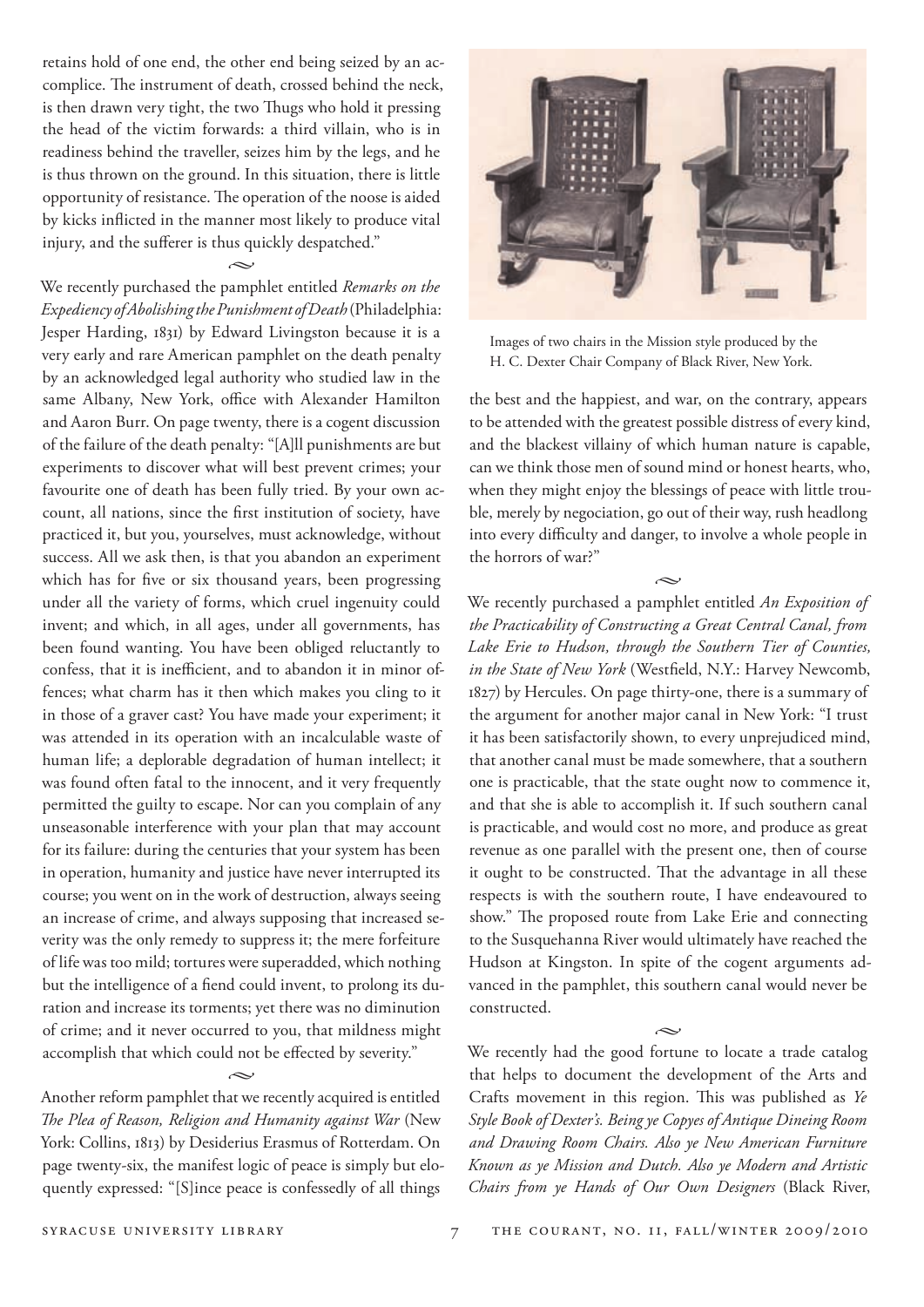retains hold of one end, the other end being seized by an accomplice. The instrument of death, crossed behind the neck, is then drawn very tight, the two Thugs who hold it pressing the head of the victim forwards: a third villain, who is in readiness behind the traveller, seizes him by the legs, and he is thus thrown on the ground. In this situation, there is little opportunity of resistance. The operation of the noose is aided by kicks inflicted in the manner most likely to produce vital injury, and the sufferer is thus quickly despatched."

 $\sim$ 

We recently purchased the pamphlet entitled *Remarks on the Expediency of Abolishing the Punishment of Death* (Philadelphia: Jesper Harding, 1831) by Edward Livingston because it is a very early and rare American pamphlet on the death penalty by an acknowledged legal authority who studied law in the same Albany, New York, office with Alexander Hamilton and Aaron Burr. On page twenty, there is a cogent discussion of the failure of the death penalty: "[A]ll punishments are but experiments to discover what will best prevent crimes; your favourite one of death has been fully tried. By your own account, all nations, since the first institution of society, have practiced it, but you, yourselves, must acknowledge, without success. All we ask then, is that you abandon an experiment which has for five or six thousand years, been progressing under all the variety of forms, which cruel ingenuity could invent; and which, in all ages, under all governments, has been found wanting. You have been obliged reluctantly to confess, that it is inefficient, and to abandon it in minor offences; what charm has it then which makes you cling to it in those of a graver cast? You have made your experiment; it was attended in its operation with an incalculable waste of human life; a deplorable degradation of human intellect; it was found often fatal to the innocent, and it very frequently permitted the guilty to escape. Nor can you complain of any unseasonable interference with your plan that may account for its failure: during the centuries that your system has been in operation, humanity and justice have never interrupted its course; you went on in the work of destruction, always seeing an increase of crime, and always supposing that increased severity was the only remedy to suppress it; the mere forfeiture of life was too mild; tortures were superadded, which nothing but the intelligence of a fiend could invent, to prolong its duration and increase its torments; yet there was no diminution of crime; and it never occurred to you, that mildness might accomplish that which could not be effected by severity."  $\sim$ 

Another reform pamphlet that we recently acquired is entitled *The Plea of Reason, Religion and Humanity against War* (New York: Collins, 1813) by Desiderius Erasmus of Rotterdam. On page twenty-six, the manifest logic of peace is simply but eloquently expressed: "[S]ince peace is confessedly of all things



Images of two chairs in the Mission style produced by the H. C. Dexter Chair Company of Black River, New York.

the best and the happiest, and war, on the contrary, appears to be attended with the greatest possible distress of every kind, and the blackest villainy of which human nature is capable, can we think those men of sound mind or honest hearts, who, when they might enjoy the blessings of peace with little trouble, merely by negociation, go out of their way, rush headlong into every difficulty and danger, to involve a whole people in the horrors of war?"

 $\sim$ 

We recently purchased a pamphlet entitled *An Exposition of the Practicability of Constructing a Great Central Canal, from Lake Erie to Hudson, through the Southern Tier of Counties, in the State of New York* (Westfield, N.Y.: Harvey Newcomb, 1827) by Hercules. On page thirty-one, there is a summary of the argument for another major canal in New York: "I trust it has been satisfactorily shown, to every unprejudiced mind, that another canal must be made somewhere, that a southern one is practicable, that the state ought now to commence it, and that she is able to accomplish it. If such southern canal is practicable, and would cost no more, and produce as great revenue as one parallel with the present one, then of course it ought to be constructed. That the advantage in all these respects is with the southern route, I have endeavoured to show." The proposed route from Lake Erie and connecting to the Susquehanna River would ultimately have reached the Hudson at Kingston. In spite of the cogent arguments advanced in the pamphlet, this southern canal would never be constructed.

We recently had the good fortune to locate a trade catalog that helps to document the development of the Arts and Crafts movement in this region. This was published as *Ye Style Book of Dexter's. Being ye Copyes of Antique Dineing Room and Drawing Room Chairs. Also ye New American Furniture Known as ye Mission and Dutch. Also ye Modern and Artistic Chairs from ye Hands of Our Own Designers* (Black River,

 $\sim$ 

SYRACUSE UNIVERSITY LIBRARY 7 THE COURANT, NO. II, FALL/WINTER 2009/2010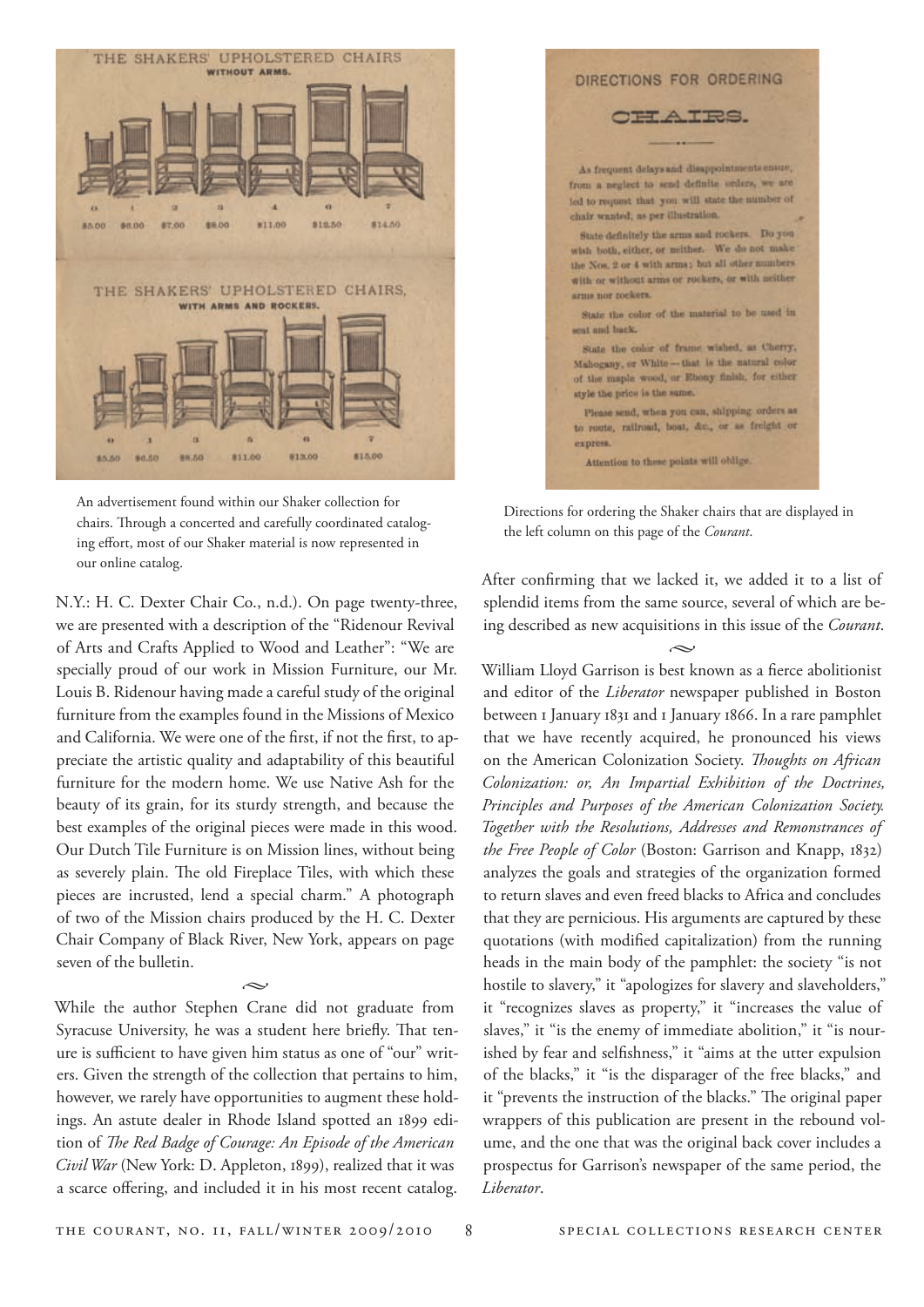

An advertisement found within our Shaker collection for chairs. Through a concerted and carefully coordinated cataloging effort, most of our Shaker material is now represented in our online catalog.

N.Y.: H. C. Dexter Chair Co., n.d.). On page twenty-three, we are presented with a description of the "Ridenour Revival of Arts and Crafts Applied to Wood and Leather": "We are specially proud of our work in Mission Furniture, our Mr. Louis B. Ridenour having made a careful study of the original furniture from the examples found in the Missions of Mexico and California. We were one of the first, if not the first, to appreciate the artistic quality and adaptability of this beautiful furniture for the modern home. We use Native Ash for the beauty of its grain, for its sturdy strength, and because the best examples of the original pieces were made in this wood. Our Dutch Tile Furniture is on Mission lines, without being as severely plain. The old Fireplace Tiles, with which these pieces are incrusted, lend a special charm." A photograph of two of the Mission chairs produced by the H. C. Dexter Chair Company of Black River, New York, appears on page seven of the bulletin.

 $\sim$ 

While the author Stephen Crane did not graduate from Syracuse University, he was a student here briefly. That tenure is sufficient to have given him status as one of "our" writers. Given the strength of the collection that pertains to him, however, we rarely have opportunities to augment these holdings. An astute dealer in Rhode Island spotted an 1899 edition of *The Red Badge of Courage: An Episode of the American Civil War* (New York: D. Appleton, 1899), realized that it was a scarce offering, and included it in his most recent catalog.



Directions for ordering the Shaker chairs that are displayed in the left column on this page of the *Courant*.

After confirming that we lacked it, we added it to a list of splendid items from the same source, several of which are being described as new acquisitions in this issue of the *Courant*.

 $\sim$ William Lloyd Garrison is best known as a fierce abolitionist and editor of the *Liberator* newspaper published in Boston between 1 January 1831 and 1 January 1866. In a rare pamphlet that we have recently acquired, he pronounced his views on the American Colonization Society. *Thoughts on African Colonization: or, An Impartial Exhibition of the Doctrines, Principles and Purposes of the American Colonization Society. Together with the Resolutions, Addresses and Remonstrances of the Free People of Color* (Boston: Garrison and Knapp, 1832) analyzes the goals and strategies of the organization formed to return slaves and even freed blacks to Africa and concludes that they are pernicious. His arguments are captured by these quotations (with modified capitalization) from the running heads in the main body of the pamphlet: the society "is not hostile to slavery," it "apologizes for slavery and slaveholders," it "recognizes slaves as property," it "increases the value of slaves," it "is the enemy of immediate abolition," it "is nourished by fear and selfishness," it "aims at the utter expulsion of the blacks," it "is the disparager of the free blacks," and it "prevents the instruction of the blacks." The original paper wrappers of this publication are present in the rebound volume, and the one that was the original back cover includes a prospectus for Garrison's newspaper of the same period, the *Liberator*.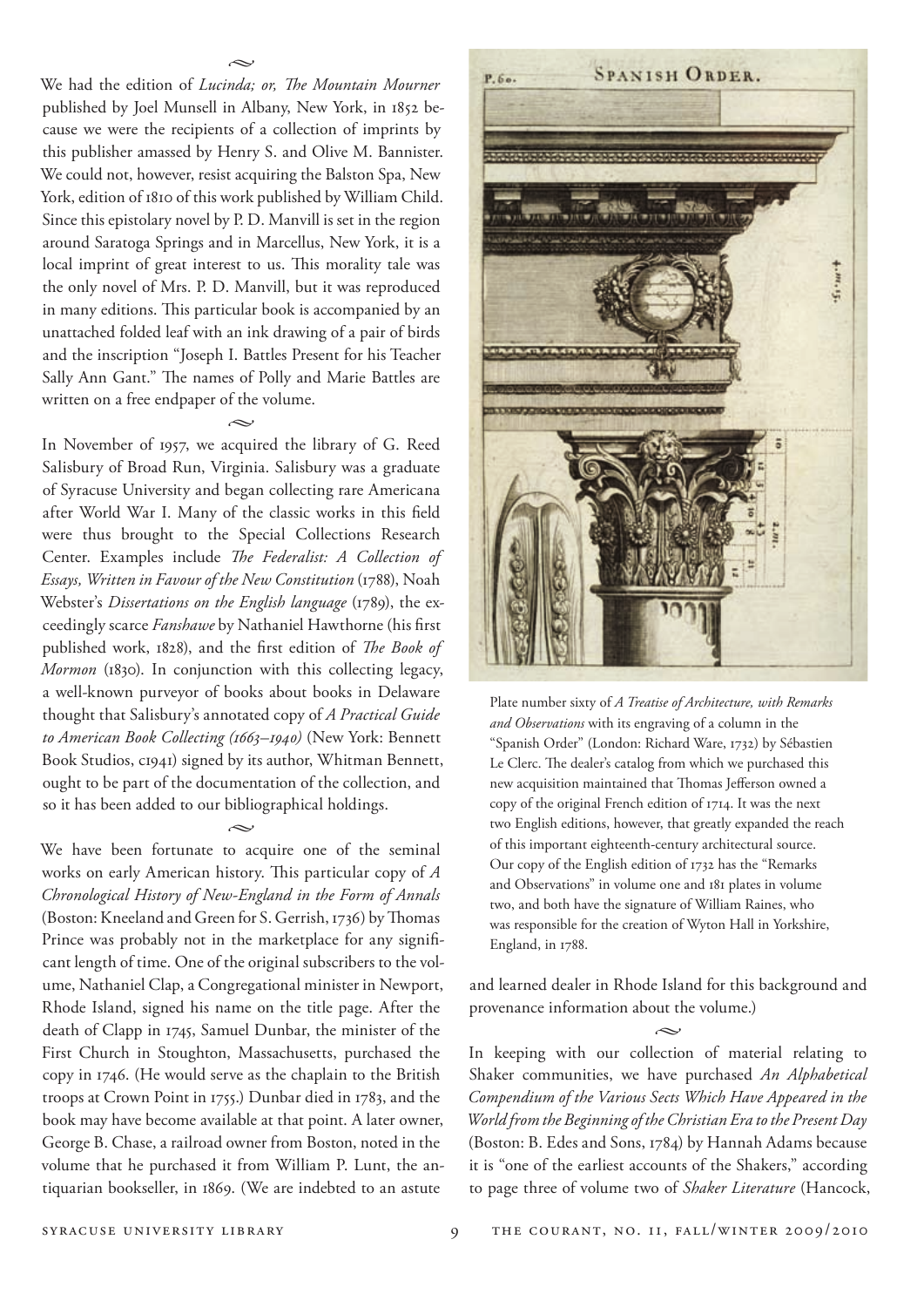We had the edition of *Lucinda; or, The Mountain Mourner* published by Joel Munsell in Albany, New York, in 1852 because we were the recipients of a collection of imprints by this publisher amassed by Henry S. and Olive M. Bannister. We could not, however, resist acquiring the Balston Spa, New York, edition of 1810 of this work published by William Child. Since this epistolary novel by P. D. Manvill is set in the region around Saratoga Springs and in Marcellus, New York, it is a local imprint of great interest to us. This morality tale was the only novel of Mrs. P. D. Manvill, but it was reproduced in many editions. This particular book is accompanied by an unattached folded leaf with an ink drawing of a pair of birds and the inscription "Joseph I. Battles Present for his Teacher Sally Ann Gant." The names of Polly and Marie Battles are written on a free endpaper of the volume.

 $\sim$ 

 $\sim$ 

In November of 1957, we acquired the library of G. Reed Salisbury of Broad Run, Virginia. Salisbury was a graduate of Syracuse University and began collecting rare Americana after World War I. Many of the classic works in this field were thus brought to the Special Collections Research Center. Examples include *The Federalist: A Collection of Essays, Written in Favour of the New Constitution* (1788), Noah Webster's *Dissertations on the English language* (1789), the exceedingly scarce *Fanshawe* by Nathaniel Hawthorne (his first published work, 1828), and the first edition of *The Book of Mormon* (1830). In conjunction with this collecting legacy, a well-known purveyor of books about books in Delaware thought that Salisbury's annotated copy of *A Practical Guide to American Book Collecting (1663–1940)* (New York: Bennett Book Studios, c1941) signed by its author, Whitman Bennett, ought to be part of the documentation of the collection, and so it has been added to our bibliographical holdings.

 $\sim$ We have been fortunate to acquire one of the seminal works on early American history. This particular copy of *A Chronological History of New-England in the Form of Annals* (Boston: Kneeland and Green for S. Gerrish, 1736) by Thomas Prince was probably not in the marketplace for any significant length of time. One of the original subscribers to the volume, Nathaniel Clap, a Congregational minister in Newport, Rhode Island, signed his name on the title page. After the death of Clapp in 1745, Samuel Dunbar, the minister of the First Church in Stoughton, Massachusetts, purchased the copy in 1746. (He would serve as the chaplain to the British troops at Crown Point in 1755.) Dunbar died in 1783, and the book may have become available at that point. A later owner, George B. Chase, a railroad owner from Boston, noted in the volume that he purchased it from William P. Lunt, the antiquarian bookseller, in 1869. (We are indebted to an astute



Plate number sixty of *A Treatise of Architecture, with Remarks and Observations* with its engraving of a column in the "Spanish Order" (London: Richard Ware, 1732) by Sébastien Le Clerc. The dealer's catalog from which we purchased this new acquisition maintained that Thomas Jefferson owned a copy of the original French edition of 1714. It was the next two English editions, however, that greatly expanded the reach of this important eighteenth-century architectural source. Our copy of the English edition of 1732 has the "Remarks and Observations" in volume one and 181 plates in volume two, and both have the signature of William Raines, who was responsible for the creation of Wyton Hall in Yorkshire, England, in 1788.

and learned dealer in Rhode Island for this background and provenance information about the volume.)

 $\sim$ 

In keeping with our collection of material relating to Shaker communities, we have purchased *An Alphabetical Compendium of the Various Sects Which Have Appeared in the World from the Beginning of the Christian Era to the Present Day* (Boston: B. Edes and Sons, 1784) by Hannah Adams because it is "one of the earliest accounts of the Shakers," according to page three of volume two of *Shaker Literature* (Hancock,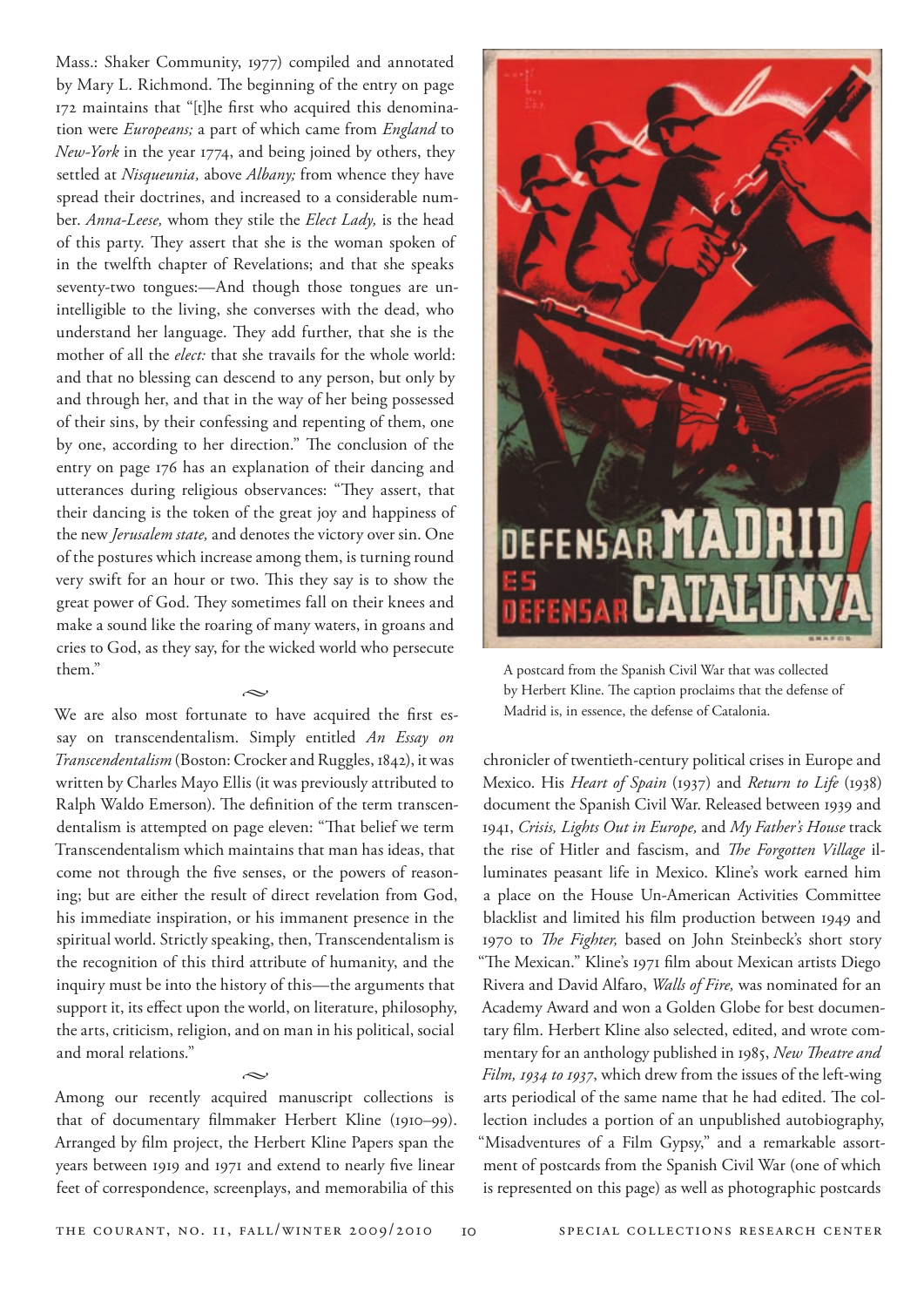Mass.: Shaker Community, 1977) compiled and annotated by Mary L. Richmond. The beginning of the entry on page 172 maintains that "[t]he first who acquired this denomination were *Europeans;* a part of which came from *England* to *New-York* in the year 1774, and being joined by others, they settled at *Nisqueunia,* above *Albany;* from whence they have spread their doctrines, and increased to a considerable number. *Anna-Leese,* whom they stile the *Elect Lady,* is the head of this party. They assert that she is the woman spoken of in the twelfth chapter of Revelations; and that she speaks seventy-two tongues:—And though those tongues are unintelligible to the living, she converses with the dead, who understand her language. They add further, that she is the mother of all the *elect:* that she travails for the whole world: and that no blessing can descend to any person, but only by and through her, and that in the way of her being possessed of their sins, by their confessing and repenting of them, one by one, according to her direction." The conclusion of the entry on page 176 has an explanation of their dancing and utterances during religious observances: "They assert, that their dancing is the token of the great joy and happiness of the new *Jerusalem state,* and denotes the victory over sin. One of the postures which increase among them, is turning round very swift for an hour or two. This they say is to show the great power of God. They sometimes fall on their knees and make a sound like the roaring of many waters, in groans and cries to God, as they say, for the wicked world who persecute them."

We are also most fortunate to have acquired the first essay on transcendentalism. Simply entitled *An Essay on Transcendentalism* (Boston: Crocker and Ruggles, 1842), it was written by Charles Mayo Ellis (it was previously attributed to Ralph Waldo Emerson). The definition of the term transcendentalism is attempted on page eleven: "That belief we term Transcendentalism which maintains that man has ideas, that come not through the five senses, or the powers of reasoning; but are either the result of direct revelation from God, his immediate inspiration, or his immanent presence in the spiritual world. Strictly speaking, then, Transcendentalism is the recognition of this third attribute of humanity, and the inquiry must be into the history of this—the arguments that support it, its effect upon the world, on literature, philosophy, the arts, criticism, religion, and on man in his political, social and moral relations."

 $\sim$ 

Among our recently acquired manuscript collections is that of documentary filmmaker Herbert Kline (1910–99). Arranged by film project, the Herbert Kline Papers span the years between 1919 and 1971 and extend to nearly five linear feet of correspondence, screenplays, and memorabilia of this

 $\sim$ 



A postcard from the Spanish Civil War that was collected by Herbert Kline. The caption proclaims that the defense of Madrid is, in essence, the defense of Catalonia.

chronicler of twentieth-century political crises in Europe and Mexico. His *Heart of Spain* (1937) and *Return to Life* (1938) document the Spanish Civil War. Released between 1939 and 1941, *Crisis, Lights Out in Europe,* and *My Father's House* track the rise of Hitler and fascism, and *The Forgotten Village* illuminates peasant life in Mexico. Kline's work earned him a place on the House Un-American Activities Committee blacklist and limited his film production between 1949 and 1970 to *The Fighter,* based on John Steinbeck's short story "The Mexican." Kline's 1971 film about Mexican artists Diego Rivera and David Alfaro, *Walls of Fire,* was nominated for an Academy Award and won a Golden Globe for best documentary film. Herbert Kline also selected, edited, and wrote commentary for an anthology published in 1985, *New Theatre and Film, 1934 to 1937*, which drew from the issues of the left-wing arts periodical of the same name that he had edited. The collection includes a portion of an unpublished autobiography, "Misadventures of a Film Gypsy," and a remarkable assortment of postcards from the Spanish Civil War (one of which is represented on this page) as well as photographic postcards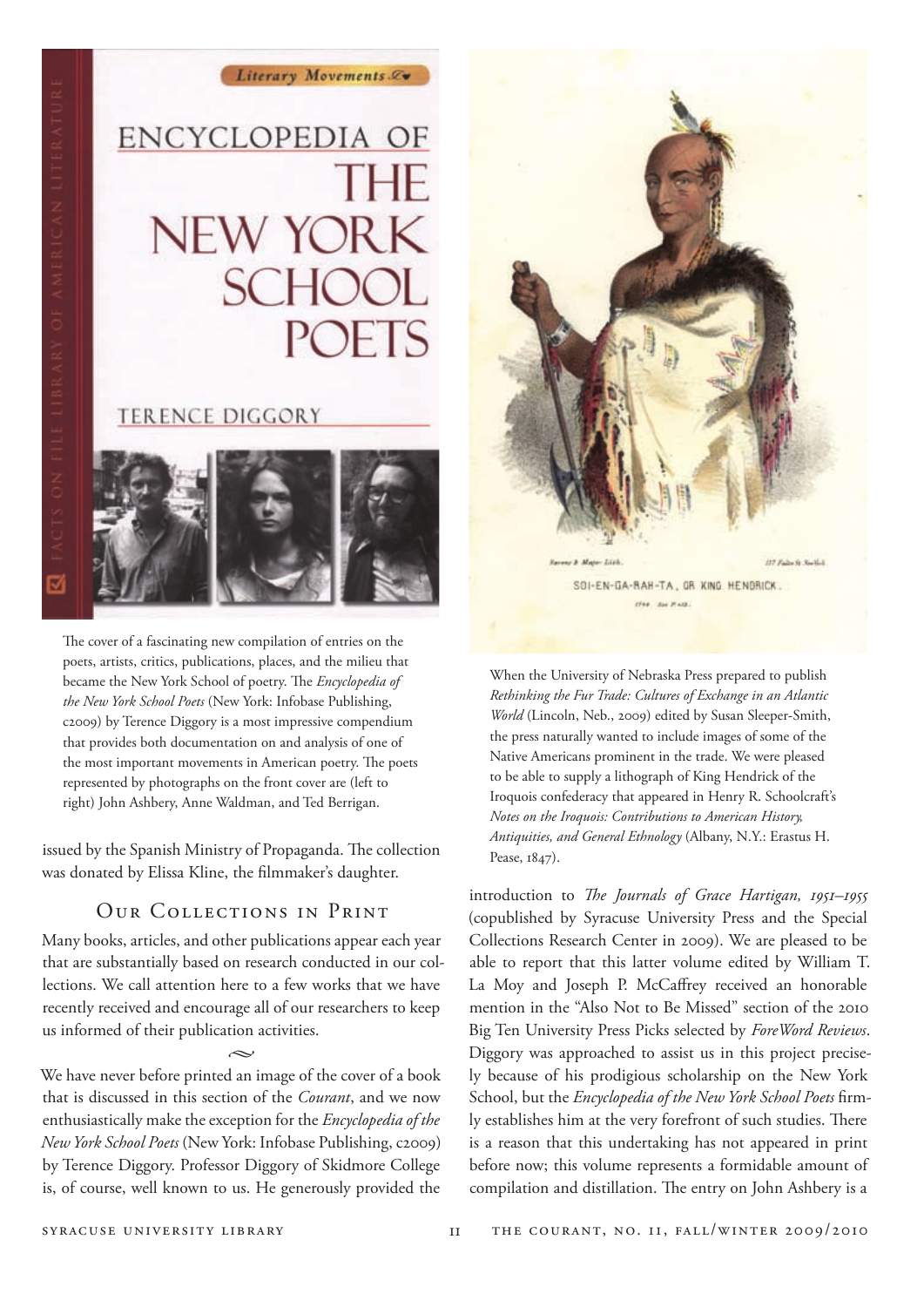### ENCYCLOPEDIA OF THE **NEW YORK SCHOOL POETS**

Literary Movements &

#### **TERENCE DIGGORY**



The cover of a fascinating new compilation of entries on the poets, artists, critics, publications, places, and the milieu that became the New York School of poetry. The *Encyclopedia of the New York School Poets* (New York: Infobase Publishing, c2009) by Terence Diggory is a most impressive compendium that provides both documentation on and analysis of one of the most important movements in American poetry. The poets represented by photographs on the front cover are (left to right) John Ashbery, Anne Waldman, and Ted Berrigan.

issued by the Spanish Ministry of Propaganda. The collection was donated by Elissa Kline, the filmmaker's daughter.

#### Our Collections in Print

Many books, articles, and other publications appear each year that are substantially based on research conducted in our collections. We call attention here to a few works that we have recently received and encourage all of our researchers to keep us informed of their publication activities.

 $\sim$ We have never before printed an image of the cover of a book that is discussed in this section of the *Courant*, and we now enthusiastically make the exception for the *Encyclopedia of the New York School Poets* (New York: Infobase Publishing, c2009) by Terence Diggory. Professor Diggory of Skidmore College is, of course, well known to us. He generously provided the



When the University of Nebraska Press prepared to publish *Rethinking the Fur Trade: Cultures of Exchange in an Atlantic World* (Lincoln, Neb., 2009) edited by Susan Sleeper-Smith, the press naturally wanted to include images of some of the Native Americans prominent in the trade. We were pleased to be able to supply a lithograph of King Hendrick of the Iroquois confederacy that appeared in Henry R. Schoolcraft's *Notes on the Iroquois: Contributions to American History, Antiquities, and General Ethnology* (Albany, N.Y.: Erastus H. Pease, 1847).

introduction to *The Journals of Grace Hartigan, 1951–1955* (copublished by Syracuse University Press and the Special Collections Research Center in 2009). We are pleased to be able to report that this latter volume edited by William T. La Moy and Joseph P. McCaffrey received an honorable mention in the "Also Not to Be Missed" section of the 2010 Big Ten University Press Picks selected by *ForeWord Reviews*. Diggory was approached to assist us in this project precisely because of his prodigious scholarship on the New York School, but the *Encyclopedia of the New York School Poets* firmly establishes him at the very forefront of such studies. There is a reason that this undertaking has not appeared in print before now; this volume represents a formidable amount of compilation and distillation. The entry on John Ashbery is a